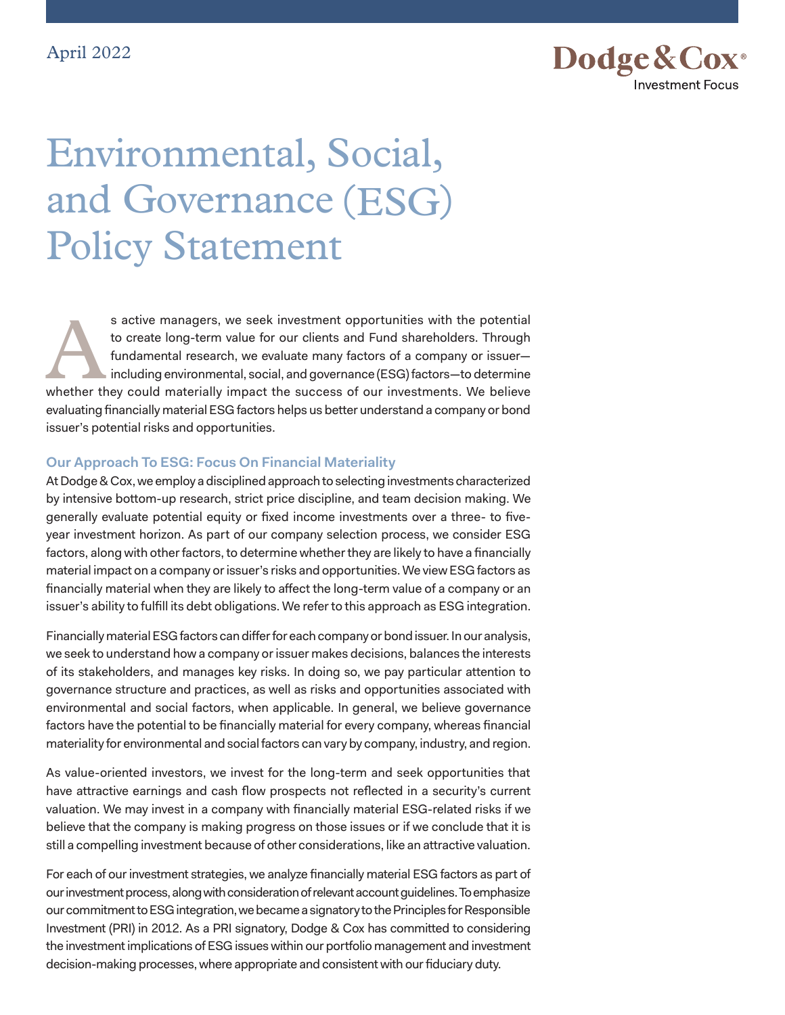

# Environmental, Social, and Governance (ESG) Policy Statement

s active managers, we seek investment opportunities with the potential<br>to create long-term value for our clients and Fund shareholders. Through<br>fundamental research, we evaluate many factors of a company or issuer-<br>includi to create long-term value for our clients and Fund shareholders. Through fundamental research, we evaluate many factors of a company or issuer including environmental, social, and governance (ESG) factors—to determine whether they could materially impact the success of our investments. We believe evaluating financially material ESG factors helps us better understand a company or bond issuer's potential risks and opportunities.

### **Our Approach To ESG: Focus On Financial Materiality**

At Dodge & Cox, we employ a disciplined approach to selecting investments characterized by intensive bottom-up research, strict price discipline, and team decision making. We generally evaluate potential equity or fixed income investments over a three- to fiveyear investment horizon. As part of our company selection process, we consider ESG factors, along with other factors, to determine whether they are likely to have a financially material impact on a company or issuer's risks and opportunities. We view ESG factors as financially material when they are likely to affect the long-term value of a company or an issuer's ability to fulfill its debt obligations. We refer to this approach as ESG integration.

Financially material ESG factors can differ for each company or bond issuer. In our analysis, we seek to understand how a company or issuer makes decisions, balances the interests of its stakeholders, and manages key risks. In doing so, we pay particular attention to governance structure and practices, as well as risks and opportunities associated with environmental and social factors, when applicable. In general, we believe governance factors have the potential to be financially material for every company, whereas financial materiality for environmental and social factors can vary by company, industry, and region.

As value-oriented investors, we invest for the long-term and seek opportunities that have attractive earnings and cash flow prospects not reflected in a security's current valuation. We may invest in a company with financially material ESG-related risks if we believe that the company is making progress on those issues or if we conclude that it is still a compelling investment because of other considerations, like an attractive valuation.

For each of our investment strategies, we analyze financially material ESG factors as part of our investment process, along with consideration of relevant account guidelines. To emphasize our commitment to ESG integration, we became a signatory to the Principles for Responsible Investment (PRI) in 2012. As a PRI signatory, Dodge & Cox has committed to considering the investment implications of ESG issues within our portfolio management and investment decision-making processes, where appropriate and consistent with our fiduciary duty.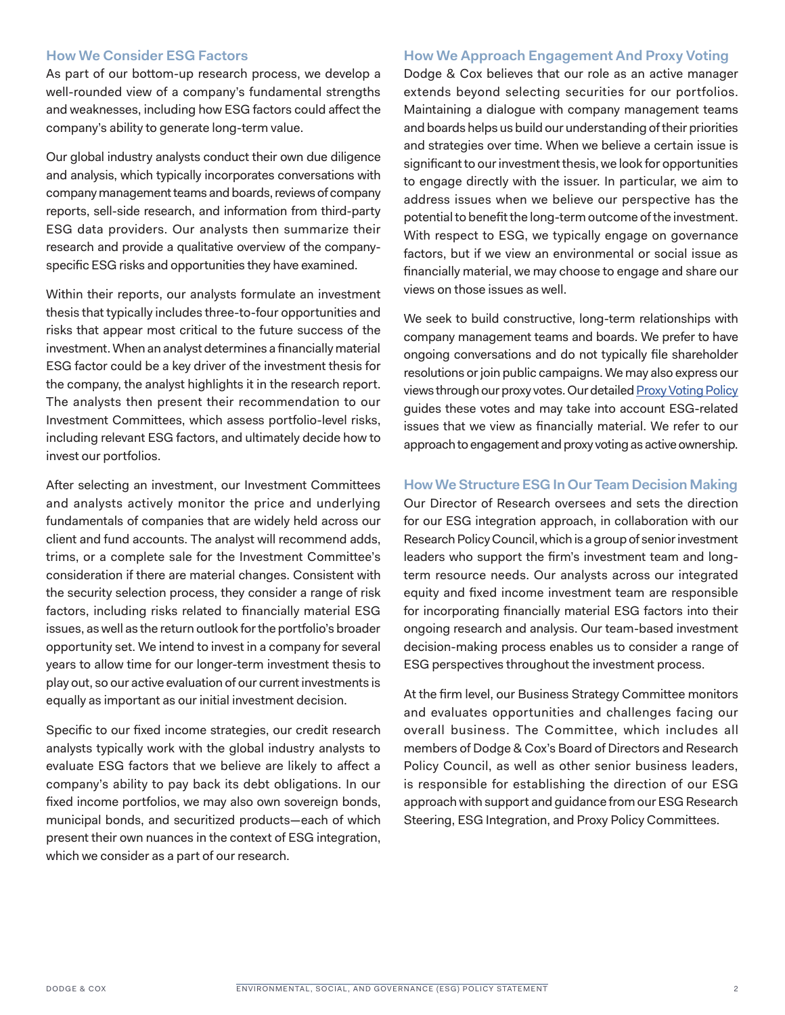### **How We Consider ESG Factors**

As part of our bottom-up research process, we develop a well-rounded view of a company's fundamental strengths and weaknesses, including how ESG factors could affect the company's ability to generate long-term value.

Our global industry analysts conduct their own due diligence and analysis, which typically incorporates conversations with company management teams and boards, reviews of company reports, sell-side research, and information from third-party ESG data providers. Our analysts then summarize their research and provide a qualitative overview of the companyspecific ESG risks and opportunities they have examined.

Within their reports, our analysts formulate an investment thesis that typically includes three-to-four opportunities and risks that appear most critical to the future success of the investment. When an analyst determines a financially material ESG factor could be a key driver of the investment thesis for the company, the analyst highlights it in the research report. The analysts then present their recommendation to our Investment Committees, which assess portfolio-level risks, including relevant ESG factors, and ultimately decide how to invest our portfolios.

After selecting an investment, our Investment Committees and analysts actively monitor the price and underlying fundamentals of companies that are widely held across our client and fund accounts. The analyst will recommend adds, trims, or a complete sale for the Investment Committee's consideration if there are material changes. Consistent with the security selection process, they consider a range of risk factors, including risks related to financially material ESG issues, as well as the return outlook for the portfolio's broader opportunity set. We intend to invest in a company for several years to allow time for our longer-term investment thesis to play out, so our active evaluation of our current investments is equally as important as our initial investment decision.

Specific to our fixed income strategies, our credit research analysts typically work with the global industry analysts to evaluate ESG factors that we believe are likely to affect a company's ability to pay back its debt obligations. In our fixed income portfolios, we may also own sovereign bonds, municipal bonds, and securitized products—each of which present their own nuances in the context of ESG integration, which we consider as a part of our research.

## **How We Approach Engagement And Proxy Voting**

Dodge & Cox believes that our role as an active manager extends beyond selecting securities for our portfolios. Maintaining a dialogue with company management teams and boards helps us build our understanding of their priorities and strategies over time. When we believe a certain issue is significant to our investment thesis, we look for opportunities to engage directly with the issuer. In particular, we aim to address issues when we believe our perspective has the potential to benefit the long-term outcome of the investment. With respect to ESG, we typically engage on governance factors, but if we view an environmental or social issue as financially material, we may choose to engage and share our views on those issues as well.

We seek to build constructive, long-term relationships with company management teams and boards. We prefer to have ongoing conversations and do not typically file shareholder resolutions or join public campaigns. We may also express our views through our proxy votes. Our detailed [Proxy Voting Policy](https://www.dodgeandcox.com/content/dam/dc/us/en/pdf/policies/dc_funds_proxy_voting_policy.pdf) guides these votes and may take into account ESG-related issues that we view as financially material. We refer to our approach to engagement and proxy voting as active ownership.

## **How We Structure ESG In Our Team Decision Making**

Our Director of Research oversees and sets the direction for our ESG integration approach, in collaboration with our Research Policy Council, which is a group of senior investment leaders who support the firm's investment team and longterm resource needs. Our analysts across our integrated equity and fixed income investment team are responsible for incorporating financially material ESG factors into their ongoing research and analysis. Our team-based investment decision-making process enables us to consider a range of ESG perspectives throughout the investment process.

At the firm level, our Business Strategy Committee monitors and evaluates opportunities and challenges facing our overall business. The Committee, which includes all members of Dodge & Cox's Board of Directors and Research Policy Council, as well as other senior business leaders, is responsible for establishing the direction of our ESG approach with support and guidance from our ESG Research Steering, ESG Integration, and Proxy Policy Committees.